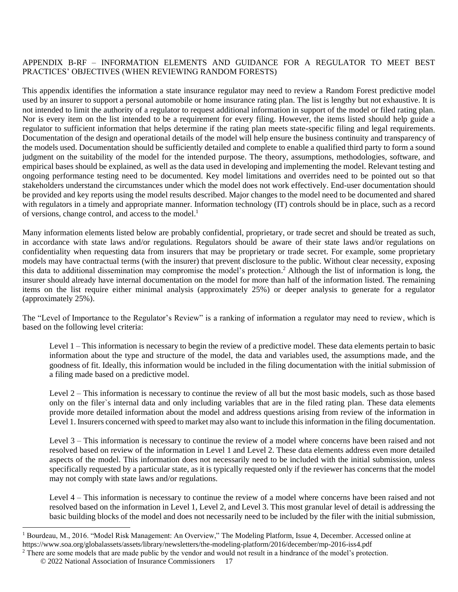#### APPENDIX B-RF – INFORMATION ELEMENTS AND GUIDANCE FOR A REGULATOR TO MEET BEST PRACTICES' OBJECTIVES (WHEN REVIEWING RANDOM FORESTS)

This appendix identifies the information a state insurance regulator may need to review a Random Forest predictive model used by an insurer to support a personal automobile or home insurance rating plan. The list is lengthy but not exhaustive. It is not intended to limit the authority of a regulator to request additional information in support of the model or filed rating plan. Nor is every item on the list intended to be a requirement for every filing. However, the items listed should help guide a regulator to sufficient information that helps determine if the rating plan meets state-specific filing and legal requirements. Documentation of the design and operational details of the model will help ensure the business continuity and transparency of the models used. Documentation should be sufficiently detailed and complete to enable a qualified third party to form a sound judgment on the suitability of the model for the intended purpose. The theory, assumptions, methodologies, software, and empirical bases should be explained, as well as the data used in developing and implementing the model. Relevant testing and ongoing performance testing need to be documented. Key model limitations and overrides need to be pointed out so that stakeholders understand the circumstances under which the model does not work effectively. End-user documentation should be provided and key reports using the model results described. Major changes to the model need to be documented and shared with regulators in a timely and appropriate manner. Information technology (IT) controls should be in place, such as a record of versions, change control, and access to the model. 1

Many information elements listed below are probably confidential, proprietary, or trade secret and should be treated as such, in accordance with state laws and/or regulations. Regulators should be aware of their state laws and/or regulations on confidentiality when requesting data from insurers that may be proprietary or trade secret. For example, some proprietary models may have contractual terms (with the insurer) that prevent disclosure to the public. Without clear necessity, exposing this data to additional dissemination may compromise the model's protection. <sup>2</sup> Although the list of information is long, the insurer should already have internal documentation on the model for more than half of the information listed. The remaining items on the list require either minimal analysis (approximately 25%) or deeper analysis to generate for a regulator (approximately 25%).

The "Level of Importance to the Regulator's Review" is a ranking of information a regulator may need to review, which is based on the following level criteria:

Level 1 – This information is necessary to begin the review of a predictive model. These data elements pertain to basic information about the type and structure of the model, the data and variables used, the assumptions made, and the goodness of fit. Ideally, this information would be included in the filing documentation with the initial submission of a filing made based on a predictive model.

Level 2 – This information is necessary to continue the review of all but the most basic models, such as those based only on the filer`s internal data and only including variables that are in the filed rating plan. These data elements provide more detailed information about the model and address questions arising from review of the information in Level 1. Insurers concerned with speed to market may also want to include this information in the filing documentation.

Level 3 – This information is necessary to continue the review of a model where concerns have been raised and not resolved based on review of the information in Level 1 and Level 2. These data elements address even more detailed aspects of the model. This information does not necessarily need to be included with the initial submission, unless specifically requested by a particular state, as it is typically requested only if the reviewer has concerns that the model may not comply with state laws and/or regulations.

Level 4 – This information is necessary to continue the review of a model where concerns have been raised and not resolved based on the information in Level 1, Level 2, and Level 3. This most granular level of detail is addressing the basic building blocks of the model and does not necessarily need to be included by the filer with the initial submission,

<sup>&</sup>lt;sup>1</sup> Bourdeau, M., 2016. "Model Risk Management: An Overview," The Modeling Platform, Issue 4, December. Accessed online at https://www.soa.org/globalassets/assets/library/newsletters/the-modeling-platform/2016/december/mp-2016-iss4.pdf

<sup>&</sup>lt;sup>2</sup> There are some models that are made public by the vendor and would not result in a hindrance of the model's protection.

<sup>©</sup> 2022 National Association of Insurance Commissioners 17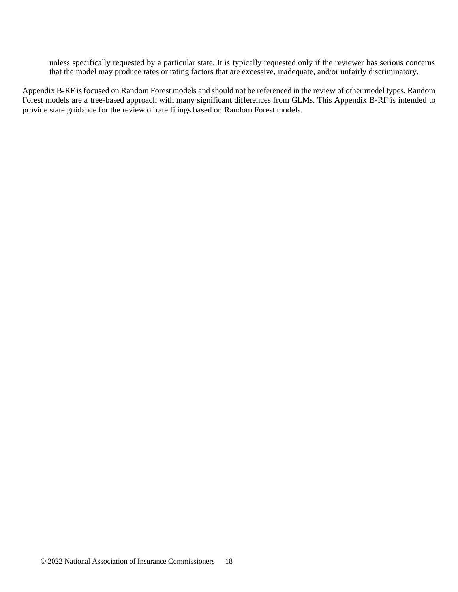unless specifically requested by a particular state. It is typically requested only if the reviewer has serious concerns that the model may produce rates or rating factors that are excessive, inadequate, and/or unfairly discriminatory.

Appendix B-RF is focused on Random Forest models and should not be referenced in the review of other model types. Random Forest models are a tree-based approach with many significant differences from GLMs. This Appendix B-RF is intended to provide state guidance for the review of rate filings based on Random Forest models.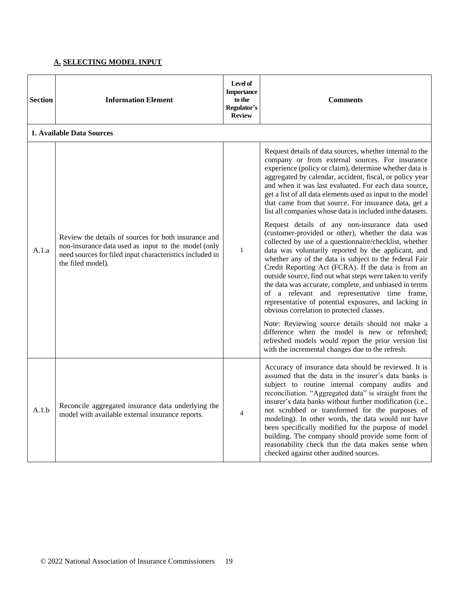### **A. SELECTING MODEL INPUT**

| <b>Section</b> | <b>Information Element</b>                                                                                                                                                                   | Level of<br><b>Importance</b><br>to the<br>Regulator's<br><b>Review</b> | <b>Comments</b>                                                                                                                                                                                                                                                                                                                                                                                                                                                                                                                                                                                                    |
|----------------|----------------------------------------------------------------------------------------------------------------------------------------------------------------------------------------------|-------------------------------------------------------------------------|--------------------------------------------------------------------------------------------------------------------------------------------------------------------------------------------------------------------------------------------------------------------------------------------------------------------------------------------------------------------------------------------------------------------------------------------------------------------------------------------------------------------------------------------------------------------------------------------------------------------|
|                | 1. Available Data Sources                                                                                                                                                                    |                                                                         |                                                                                                                                                                                                                                                                                                                                                                                                                                                                                                                                                                                                                    |
| A.1.a          | Review the details of sources for both insurance and<br>non-insurance data used as input to the model (only<br>need sources for filed input characteristics included in<br>the filed model). | $\mathbf{1}$                                                            | Request details of data sources, whether internal to the<br>company or from external sources. For insurance<br>experience (policy or claim), determine whether data is<br>aggregated by calendar, accident, fiscal, or policy year<br>and when it was last evaluated. For each data source,<br>get a list of all data elements used as input to the model<br>that came from that source. For insurance data, get a<br>list all companies whose data is included in the datasets.                                                                                                                                   |
|                |                                                                                                                                                                                              |                                                                         | Request details of any non-insurance data used<br>(customer-provided or other), whether the data was<br>collected by use of a questionnaire/checklist, whether<br>data was voluntarily reported by the applicant, and<br>whether any of the data is subject to the federal Fair<br>Credit Reporting Act (FCRA). If the data is from an<br>outside source, find out what steps were taken to verify<br>the data was accurate, complete, and unbiased in terms<br>of a relevant and representative time frame,<br>representative of potential exposures, and lacking in<br>obvious correlation to protected classes. |
|                |                                                                                                                                                                                              |                                                                         | Note: Reviewing source details should not make a<br>difference when the model is new or refreshed;<br>refreshed models would report the prior version list<br>with the incremental changes due to the refresh.                                                                                                                                                                                                                                                                                                                                                                                                     |
| A.1.b          | Reconcile aggregated insurance data underlying the<br>model with available external insurance reports.                                                                                       | $\overline{4}$                                                          | Accuracy of insurance data should be reviewed. It is<br>assumed that the data in the insurer's data banks is<br>subject to routine internal company audits and<br>reconciliation. "Aggregated data" is straight from the<br>insurer's data banks without further modification (i.e.,<br>not scrubbed or transformed for the purposes of<br>modeling). In other words, the data would not have<br>been specifically modified for the purpose of model<br>building. The company should provide some form of<br>reasonability check that the data makes sense when<br>checked against other audited sources.          |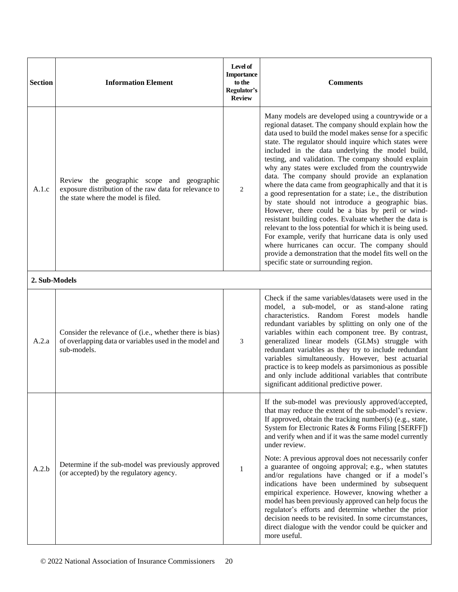| <b>Section</b> | <b>Information Element</b>                                                                                                                  | Level of<br><b>Importance</b><br>to the<br>Regulator's<br><b>Review</b> | <b>Comments</b>                                                                                                                                                                                                                                                                                                                                                                                                                                                                                                                                                                                                                                                                                                                                                                                                                                                                                                                                                                                                        |
|----------------|---------------------------------------------------------------------------------------------------------------------------------------------|-------------------------------------------------------------------------|------------------------------------------------------------------------------------------------------------------------------------------------------------------------------------------------------------------------------------------------------------------------------------------------------------------------------------------------------------------------------------------------------------------------------------------------------------------------------------------------------------------------------------------------------------------------------------------------------------------------------------------------------------------------------------------------------------------------------------------------------------------------------------------------------------------------------------------------------------------------------------------------------------------------------------------------------------------------------------------------------------------------|
| A.1.c          | Review the geographic scope and geographic<br>exposure distribution of the raw data for relevance to<br>the state where the model is filed. | 2                                                                       | Many models are developed using a countrywide or a<br>regional dataset. The company should explain how the<br>data used to build the model makes sense for a specific<br>state. The regulator should inquire which states were<br>included in the data underlying the model build,<br>testing, and validation. The company should explain<br>why any states were excluded from the countrywide<br>data. The company should provide an explanation<br>where the data came from geographically and that it is<br>a good representation for a state; i.e., the distribution<br>by state should not introduce a geographic bias.<br>However, there could be a bias by peril or wind-<br>resistant building codes. Evaluate whether the data is<br>relevant to the loss potential for which it is being used.<br>For example, verify that hurricane data is only used<br>where hurricanes can occur. The company should<br>provide a demonstration that the model fits well on the<br>specific state or surrounding region. |
| 2. Sub-Models  |                                                                                                                                             |                                                                         |                                                                                                                                                                                                                                                                                                                                                                                                                                                                                                                                                                                                                                                                                                                                                                                                                                                                                                                                                                                                                        |
| A.2.a          | Consider the relevance of (i.e., whether there is bias)<br>of overlapping data or variables used in the model and<br>sub-models.            | 3                                                                       | Check if the same variables/datasets were used in the<br>model, a sub-model, or as stand-alone rating<br>characteristics. Random Forest models<br>handle<br>redundant variables by splitting on only one of the<br>variables within each component tree. By contrast,<br>generalized linear models (GLMs) struggle with<br>redundant variables as they try to include redundant<br>variables simultaneously. However, best actuarial<br>practice is to keep models as parsimonious as possible<br>and only include additional variables that contribute<br>significant additional predictive power.                                                                                                                                                                                                                                                                                                                                                                                                                    |
| A.2.b          | Determine if the sub-model was previously approved<br>(or accepted) by the regulatory agency.                                               | 1                                                                       | If the sub-model was previously approved/accepted,<br>that may reduce the extent of the sub-model's review.<br>If approved, obtain the tracking number(s) (e.g., state,<br>System for Electronic Rates & Forms Filing [SERFF])<br>and verify when and if it was the same model currently<br>under review.<br>Note: A previous approval does not necessarily confer<br>a guarantee of ongoing approval; e.g., when statutes<br>and/or regulations have changed or if a model's<br>indications have been undermined by subsequent<br>empirical experience. However, knowing whether a<br>model has been previously approved can help focus the<br>regulator's efforts and determine whether the prior<br>decision needs to be revisited. In some circumstances,<br>direct dialogue with the vendor could be quicker and<br>more useful.                                                                                                                                                                                  |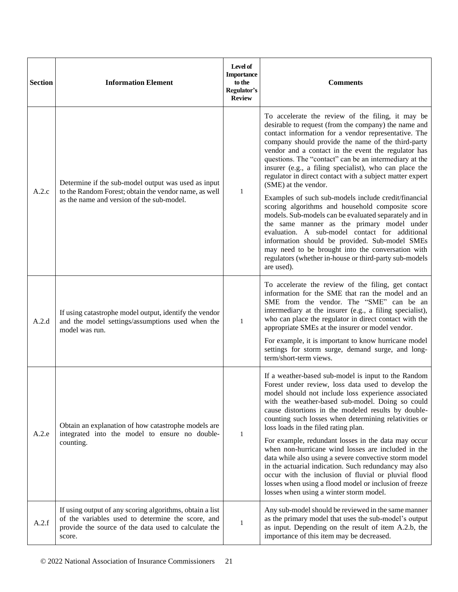| <b>Section</b> | <b>Information Element</b>                                                                                                                                                      | Level of<br><b>Importance</b><br>to the<br>Regulator's<br><b>Review</b> | <b>Comments</b>                                                                                                                                                                                                                                                                                                                                                                                                                                                                                                                                                                                                                                                                                                                                                          |
|----------------|---------------------------------------------------------------------------------------------------------------------------------------------------------------------------------|-------------------------------------------------------------------------|--------------------------------------------------------------------------------------------------------------------------------------------------------------------------------------------------------------------------------------------------------------------------------------------------------------------------------------------------------------------------------------------------------------------------------------------------------------------------------------------------------------------------------------------------------------------------------------------------------------------------------------------------------------------------------------------------------------------------------------------------------------------------|
| A.2.c          | Determine if the sub-model output was used as input<br>to the Random Forest; obtain the vendor name, as well<br>as the name and version of the sub-model.                       |                                                                         | To accelerate the review of the filing, it may be<br>desirable to request (from the company) the name and<br>contact information for a vendor representative. The<br>company should provide the name of the third-party<br>vendor and a contact in the event the regulator has<br>questions. The "contact" can be an intermediary at the<br>insurer (e.g., a filing specialist), who can place the<br>regulator in direct contact with a subject matter expert<br>(SME) at the vendor.                                                                                                                                                                                                                                                                                   |
|                |                                                                                                                                                                                 | $\mathbf{1}$                                                            | Examples of such sub-models include credit/financial<br>scoring algorithms and household composite score<br>models. Sub-models can be evaluated separately and in<br>the same manner as the primary model under<br>evaluation. A sub-model contact for additional<br>information should be provided. Sub-model SMEs<br>may need to be brought into the conversation with<br>regulators (whether in-house or third-party sub-models<br>are used).                                                                                                                                                                                                                                                                                                                         |
| A.2.d          | If using catastrophe model output, identify the vendor<br>and the model settings/assumptions used when the<br>model was run.                                                    | $\mathbf{1}$                                                            | To accelerate the review of the filing, get contact<br>information for the SME that ran the model and an<br>SME from the vendor. The "SME" can be an<br>intermediary at the insurer (e.g., a filing specialist),<br>who can place the regulator in direct contact with the<br>appropriate SMEs at the insurer or model vendor.<br>For example, it is important to know hurricane model<br>settings for storm surge, demand surge, and long-<br>term/short-term views.                                                                                                                                                                                                                                                                                                    |
| A.2.e          | Obtain an explanation of how catastrophe models are<br>integrated into the model to ensure no double-<br>counting.                                                              | $\mathbf{1}$                                                            | If a weather-based sub-model is input to the Random<br>Forest under review, loss data used to develop the<br>model should not include loss experience associated<br>with the weather-based sub-model. Doing so could<br>cause distortions in the modeled results by double-<br>counting such losses when determining relativities or<br>loss loads in the filed rating plan.<br>For example, redundant losses in the data may occur<br>when non-hurricane wind losses are included in the<br>data while also using a severe convective storm model<br>in the actuarial indication. Such redundancy may also<br>occur with the inclusion of fluvial or pluvial flood<br>losses when using a flood model or inclusion of freeze<br>losses when using a winter storm model. |
| A.2.f          | If using output of any scoring algorithms, obtain a list<br>of the variables used to determine the score, and<br>provide the source of the data used to calculate the<br>score. | 1                                                                       | Any sub-model should be reviewed in the same manner<br>as the primary model that uses the sub-model's output<br>as input. Depending on the result of item A.2.b, the<br>importance of this item may be decreased.                                                                                                                                                                                                                                                                                                                                                                                                                                                                                                                                                        |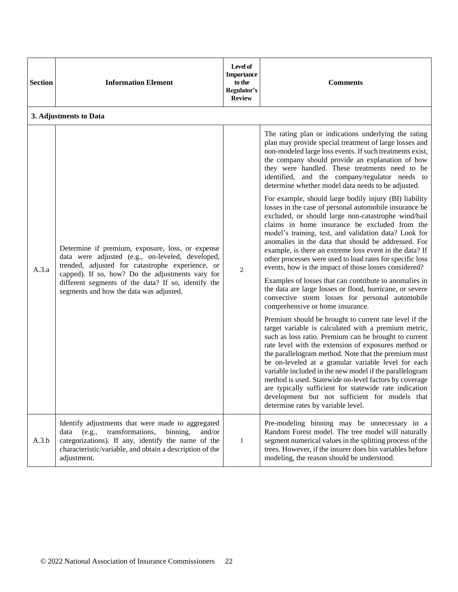| <b>Section</b> | <b>Information Element</b>                                                                                                                                                                                                                                                                                     | Level of<br><b>Importance</b><br>to the<br>Regulator's<br><b>Review</b> | <b>Comments</b>                                                                                                                                                                                                                                                                                                                                                                                                                                                                                                                                                                                                                                                                                                                        |
|----------------|----------------------------------------------------------------------------------------------------------------------------------------------------------------------------------------------------------------------------------------------------------------------------------------------------------------|-------------------------------------------------------------------------|----------------------------------------------------------------------------------------------------------------------------------------------------------------------------------------------------------------------------------------------------------------------------------------------------------------------------------------------------------------------------------------------------------------------------------------------------------------------------------------------------------------------------------------------------------------------------------------------------------------------------------------------------------------------------------------------------------------------------------------|
|                | 3. Adjustments to Data                                                                                                                                                                                                                                                                                         |                                                                         |                                                                                                                                                                                                                                                                                                                                                                                                                                                                                                                                                                                                                                                                                                                                        |
| A.3.a          | Determine if premium, exposure, loss, or expense<br>data were adjusted (e.g., on-leveled, developed,<br>trended, adjusted for catastrophe experience, or<br>capped). If so, how? Do the adjustments vary for<br>different segments of the data? If so, identify the<br>segments and how the data was adjusted. |                                                                         | The rating plan or indications underlying the rating<br>plan may provide special treatment of large losses and<br>non-modeled large loss events. If such treatments exist,<br>the company should provide an explanation of how<br>they were handled. These treatments need to be<br>identified, and the company/regulator needs to<br>determine whether model data needs to be adjusted.                                                                                                                                                                                                                                                                                                                                               |
|                |                                                                                                                                                                                                                                                                                                                | $\overline{2}$                                                          | For example, should large bodily injury (BI) liability<br>losses in the case of personal automobile insurance be<br>excluded, or should large non-catastrophe wind/hail<br>claims in home insurance be excluded from the<br>model's training, test, and validation data? Look for<br>anomalies in the data that should be addressed. For<br>example, is there an extreme loss event in the data? If<br>other processes were used to load rates for specific loss<br>events, how is the impact of those losses considered?<br>Examples of losses that can contribute to anomalies in<br>the data are large losses or flood, hurricane, or severe<br>convective storm losses for personal automobile<br>comprehensive or home insurance. |
|                |                                                                                                                                                                                                                                                                                                                |                                                                         | Premium should be brought to current rate level if the<br>target variable is calculated with a premium metric,<br>such as loss ratio. Premium can be brought to current<br>rate level with the extension of exposures method or<br>the parallelogram method. Note that the premium must<br>be on-leveled at a granular variable level for each<br>variable included in the new model if the parallelogram<br>method is used. Statewide on-level factors by coverage<br>are typically sufficient for statewide rate indication<br>development but not sufficient for models that<br>determine rates by variable level.                                                                                                                  |
| A.3.b          | Identify adjustments that were made to aggregated<br>transformations,<br>data (e.g.,<br>binning,<br>and/or<br>categorizations). If any, identify the name of the<br>characteristic/variable, and obtain a description of the<br>adjustment.                                                                    | $\mathbf{1}$                                                            | Pre-modeling binning may be unnecessary in a<br>Random Forest model. The tree model will naturally<br>segment numerical values in the splitting process of the<br>trees. However, if the insurer does bin variables before<br>modeling, the reason should be understood.                                                                                                                                                                                                                                                                                                                                                                                                                                                               |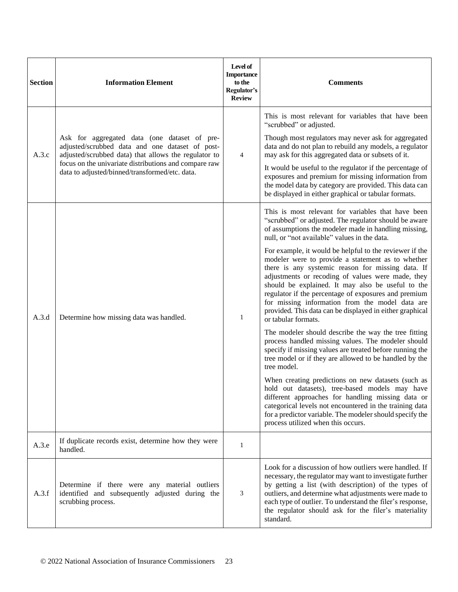| <b>Section</b> | <b>Information Element</b>                                                                                                                                                                                                                                         | Level of<br><b>Importance</b><br>to the<br>Regulator's<br><b>Review</b> | <b>Comments</b>                                                                                                                                                                                                                                                                                                                                                                                                                                                           |
|----------------|--------------------------------------------------------------------------------------------------------------------------------------------------------------------------------------------------------------------------------------------------------------------|-------------------------------------------------------------------------|---------------------------------------------------------------------------------------------------------------------------------------------------------------------------------------------------------------------------------------------------------------------------------------------------------------------------------------------------------------------------------------------------------------------------------------------------------------------------|
| A.3.c          | Ask for aggregated data (one dataset of pre-<br>adjusted/scrubbed data and one dataset of post-<br>adjusted/scrubbed data) that allows the regulator to<br>focus on the univariate distributions and compare raw<br>data to adjusted/binned/transformed/etc. data. | 4                                                                       | This is most relevant for variables that have been<br>"scrubbed" or adjusted.<br>Though most regulators may never ask for aggregated<br>data and do not plan to rebuild any models, a regulator<br>may ask for this aggregated data or subsets of it.<br>It would be useful to the regulator if the percentage of<br>exposures and premium for missing information from                                                                                                   |
|                |                                                                                                                                                                                                                                                                    |                                                                         | the model data by category are provided. This data can<br>be displayed in either graphical or tabular formats.<br>This is most relevant for variables that have been<br>"scrubbed" or adjusted. The regulator should be aware<br>of assumptions the modeler made in handling missing,<br>null, or "not available" values in the data.                                                                                                                                     |
| A.3.d          | Determine how missing data was handled.                                                                                                                                                                                                                            | $\mathbf{1}$                                                            | For example, it would be helpful to the reviewer if the<br>modeler were to provide a statement as to whether<br>there is any systemic reason for missing data. If<br>adjustments or recoding of values were made, they<br>should be explained. It may also be useful to the<br>regulator if the percentage of exposures and premium<br>for missing information from the model data are<br>provided. This data can be displayed in either graphical<br>or tabular formats. |
|                |                                                                                                                                                                                                                                                                    |                                                                         | The modeler should describe the way the tree fitting<br>process handled missing values. The modeler should<br>specify if missing values are treated before running the<br>tree model or if they are allowed to be handled by the<br>tree model.                                                                                                                                                                                                                           |
|                |                                                                                                                                                                                                                                                                    |                                                                         | When creating predictions on new datasets (such as<br>hold out datasets), tree-based models may have<br>different approaches for handling missing data or<br>categorical levels not encountered in the training data<br>for a predictor variable. The modeler should specify the<br>process utilized when this occurs.                                                                                                                                                    |
| A.3.e          | If duplicate records exist, determine how they were<br>handled.                                                                                                                                                                                                    | $\mathbf{1}$                                                            |                                                                                                                                                                                                                                                                                                                                                                                                                                                                           |
| A.3.f          | Determine if there were any material outliers<br>identified and subsequently adjusted during the<br>scrubbing process.                                                                                                                                             | 3                                                                       | Look for a discussion of how outliers were handled. If<br>necessary, the regulator may want to investigate further<br>by getting a list (with description) of the types of<br>outliers, and determine what adjustments were made to<br>each type of outlier. To understand the filer's response,<br>the regulator should ask for the filer's materiality<br>standard.                                                                                                     |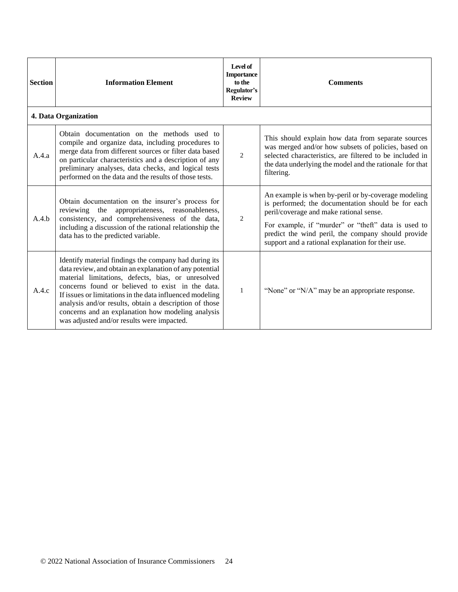| <b>Section</b> | <b>Information Element</b>                                                                                                                                                                                                                                                                                                                                                                                                                          | Level of<br><b>Importance</b><br>to the<br>Regulator's<br><b>Review</b> | <b>Comments</b>                                                                                                                                                                                                                                                                                                        |
|----------------|-----------------------------------------------------------------------------------------------------------------------------------------------------------------------------------------------------------------------------------------------------------------------------------------------------------------------------------------------------------------------------------------------------------------------------------------------------|-------------------------------------------------------------------------|------------------------------------------------------------------------------------------------------------------------------------------------------------------------------------------------------------------------------------------------------------------------------------------------------------------------|
|                | 4. Data Organization                                                                                                                                                                                                                                                                                                                                                                                                                                |                                                                         |                                                                                                                                                                                                                                                                                                                        |
| A.4.a          | Obtain documentation on the methods used to<br>compile and organize data, including procedures to<br>merge data from different sources or filter data based<br>on particular characteristics and a description of any<br>preliminary analyses, data checks, and logical tests<br>performed on the data and the results of those tests.                                                                                                              | $\overline{2}$                                                          | This should explain how data from separate sources<br>was merged and/or how subsets of policies, based on<br>selected characteristics, are filtered to be included in<br>the data underlying the model and the rationale for that<br>filtering.                                                                        |
| A.4.b          | Obtain documentation on the insurer's process for<br>appropriateness, reasonableness,<br>reviewing the<br>consistency, and comprehensiveness of the data,<br>including a discussion of the rational relationship the<br>data has to the predicted variable.                                                                                                                                                                                         | $\overline{2}$                                                          | An example is when by-peril or by-coverage modeling<br>is performed; the documentation should be for each<br>peril/coverage and make rational sense.<br>For example, if "murder" or "theft" data is used to<br>predict the wind peril, the company should provide<br>support and a rational explanation for their use. |
| A.4.c          | Identify material findings the company had during its<br>data review, and obtain an explanation of any potential<br>material limitations, defects, bias, or unresolved<br>concerns found or believed to exist in the data.<br>If issues or limitations in the data influenced modeling<br>analysis and/or results, obtain a description of those<br>concerns and an explanation how modeling analysis<br>was adjusted and/or results were impacted. | $\mathbf{1}$                                                            | "None" or "N/A" may be an appropriate response.                                                                                                                                                                                                                                                                        |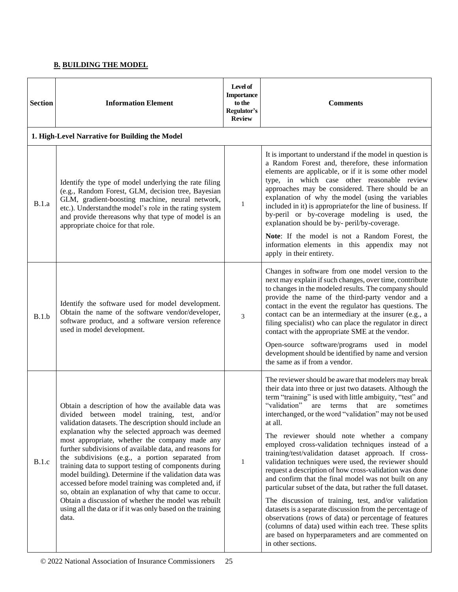# **B. BUILDING THE MODEL**

| <b>Section</b> | <b>Information Element</b>                                                                                                                                                                                                                                                                                                                                                                                                                                                                                                                                                                                                                                                                                                                         | Level of<br><b>Importance</b><br>to the<br>Regulator's<br><b>Review</b> | <b>Comments</b>                                                                                                                                                                                                                                                                                                                                                                                                                                                                                                                                                                                                                                                                                                                                                                                                                                                                                                                                                                                                         |
|----------------|----------------------------------------------------------------------------------------------------------------------------------------------------------------------------------------------------------------------------------------------------------------------------------------------------------------------------------------------------------------------------------------------------------------------------------------------------------------------------------------------------------------------------------------------------------------------------------------------------------------------------------------------------------------------------------------------------------------------------------------------------|-------------------------------------------------------------------------|-------------------------------------------------------------------------------------------------------------------------------------------------------------------------------------------------------------------------------------------------------------------------------------------------------------------------------------------------------------------------------------------------------------------------------------------------------------------------------------------------------------------------------------------------------------------------------------------------------------------------------------------------------------------------------------------------------------------------------------------------------------------------------------------------------------------------------------------------------------------------------------------------------------------------------------------------------------------------------------------------------------------------|
|                | 1. High-Level Narrative for Building the Model                                                                                                                                                                                                                                                                                                                                                                                                                                                                                                                                                                                                                                                                                                     |                                                                         |                                                                                                                                                                                                                                                                                                                                                                                                                                                                                                                                                                                                                                                                                                                                                                                                                                                                                                                                                                                                                         |
| B.1.a          | Identify the type of model underlying the rate filing<br>(e.g., Random Forest, GLM, decision tree, Bayesian<br>GLM, gradient-boosting machine, neural network,<br>etc.). Understand the model's role in the rating system<br>and provide thereasons why that type of model is an<br>appropriate choice for that role.                                                                                                                                                                                                                                                                                                                                                                                                                              | 1                                                                       | It is important to understand if the model in question is<br>a Random Forest and, therefore, these information<br>elements are applicable, or if it is some other model<br>type, in which case other reasonable review<br>approaches may be considered. There should be an<br>explanation of why the model (using the variables<br>included in it) is appropriatefor the line of business. If<br>by-peril or by-coverage modeling is used, the<br>explanation should be by- peril/by-coverage.                                                                                                                                                                                                                                                                                                                                                                                                                                                                                                                          |
|                |                                                                                                                                                                                                                                                                                                                                                                                                                                                                                                                                                                                                                                                                                                                                                    |                                                                         | Note: If the model is not a Random Forest, the<br>information elements in this appendix may not<br>apply in their entirety.                                                                                                                                                                                                                                                                                                                                                                                                                                                                                                                                                                                                                                                                                                                                                                                                                                                                                             |
| B.1.b          | Identify the software used for model development.<br>Obtain the name of the software vendor/developer,<br>software product, and a software version reference<br>used in model development.                                                                                                                                                                                                                                                                                                                                                                                                                                                                                                                                                         | 3                                                                       | Changes in software from one model version to the<br>next may explain if such changes, over time, contribute<br>to changes in the modeled results. The company should<br>provide the name of the third-party vendor and a<br>contact in the event the regulator has questions. The<br>contact can be an intermediary at the insurer (e.g., a<br>filing specialist) who can place the regulator in direct<br>contact with the appropriate SME at the vendor.<br>Open-source software/programs used in model<br>development should be identified by name and version<br>the same as if from a vendor.                                                                                                                                                                                                                                                                                                                                                                                                                     |
| B.1.c          | Obtain a description of how the available data was<br>divided between model training, test, and/or<br>validation datasets. The description should include an<br>explanation why the selected approach was deemed<br>most appropriate, whether the company made any<br>further subdivisions of available data, and reasons for<br>the subdivisions (e.g., a portion separated from<br>training data to support testing of components during<br>model building). Determine if the validation data was<br>accessed before model training was completed and, if<br>so, obtain an explanation of why that came to occur.<br>Obtain a discussion of whether the model was rebuilt<br>using all the data or if it was only based on the training<br>data. | $\mathbf{1}$                                                            | The reviewer should be aware that modelers may break<br>their data into three or just two datasets. Although the<br>term "training" is used with little ambiguity, "test" and<br>"validation"<br>are terms that are sometimes<br>interchanged, or the word "validation" may not be used<br>at all.<br>The reviewer should note whether a company<br>employed cross-validation techniques instead of a<br>training/test/validation dataset approach. If cross-<br>validation techniques were used, the reviewer should<br>request a description of how cross-validation was done<br>and confirm that the final model was not built on any<br>particular subset of the data, but rather the full dataset.<br>The discussion of training, test, and/or validation<br>datasets is a separate discussion from the percentage of<br>observations (rows of data) or percentage of features<br>(columns of data) used within each tree. These splits<br>are based on hyperparameters and are commented on<br>in other sections. |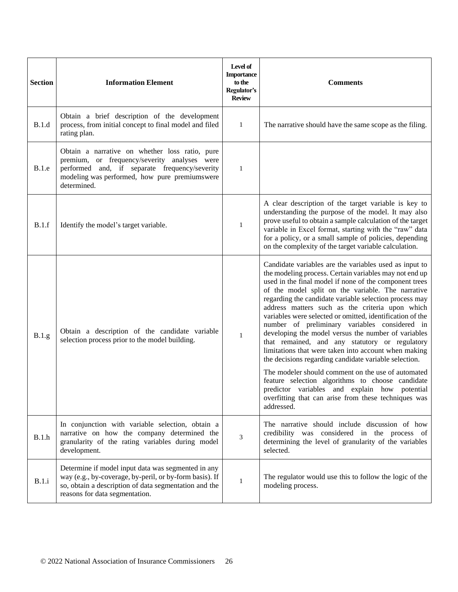| <b>Section</b> | <b>Information Element</b>                                                                                                                                                                                       | Level of<br><b>Importance</b><br>to the<br>Regulator's<br><b>Review</b> | <b>Comments</b>                                                                                                                                                                                                                                                                                                                                                                                                                                                                                                                                                                                                                                                                                                                                                                                                                                                                                                       |
|----------------|------------------------------------------------------------------------------------------------------------------------------------------------------------------------------------------------------------------|-------------------------------------------------------------------------|-----------------------------------------------------------------------------------------------------------------------------------------------------------------------------------------------------------------------------------------------------------------------------------------------------------------------------------------------------------------------------------------------------------------------------------------------------------------------------------------------------------------------------------------------------------------------------------------------------------------------------------------------------------------------------------------------------------------------------------------------------------------------------------------------------------------------------------------------------------------------------------------------------------------------|
| B.1.d          | Obtain a brief description of the development<br>process, from initial concept to final model and filed<br>rating plan.                                                                                          | $\mathbf{1}$                                                            | The narrative should have the same scope as the filing.                                                                                                                                                                                                                                                                                                                                                                                                                                                                                                                                                                                                                                                                                                                                                                                                                                                               |
| B.1.e          | Obtain a narrative on whether loss ratio, pure<br>premium, or frequency/severity analyses were<br>performed and, if separate frequency/severity<br>modeling was performed, how pure premiums were<br>determined. | $\mathbf{1}$                                                            |                                                                                                                                                                                                                                                                                                                                                                                                                                                                                                                                                                                                                                                                                                                                                                                                                                                                                                                       |
| B.1.f          | Identify the model's target variable.                                                                                                                                                                            | 1                                                                       | A clear description of the target variable is key to<br>understanding the purpose of the model. It may also<br>prove useful to obtain a sample calculation of the target<br>variable in Excel format, starting with the "raw" data<br>for a policy, or a small sample of policies, depending<br>on the complexity of the target variable calculation.                                                                                                                                                                                                                                                                                                                                                                                                                                                                                                                                                                 |
| B.1.g          | Obtain a description of the candidate variable<br>selection process prior to the model building.                                                                                                                 | 1                                                                       | Candidate variables are the variables used as input to<br>the modeling process. Certain variables may not end up<br>used in the final model if none of the component trees<br>of the model split on the variable. The narrative<br>regarding the candidate variable selection process may<br>address matters such as the criteria upon which<br>variables were selected or omitted, identification of the<br>number of preliminary variables considered in<br>developing the model versus the number of variables<br>that remained, and any statutory or regulatory<br>limitations that were taken into account when making<br>the decisions regarding candidate variable selection.<br>The modeler should comment on the use of automated<br>feature selection algorithms to choose candidate<br>predictor variables and explain how potential<br>overfitting that can arise from these techniques was<br>addressed. |
| B.1.h          | In conjunction with variable selection, obtain a<br>narrative on how the company determined the<br>granularity of the rating variables during model<br>development.                                              | 3                                                                       | The narrative should include discussion of how<br>credibility was considered in the process of<br>determining the level of granularity of the variables<br>selected.                                                                                                                                                                                                                                                                                                                                                                                                                                                                                                                                                                                                                                                                                                                                                  |
| B.1.i          | Determine if model input data was segmented in any<br>way (e.g., by-coverage, by-peril, or by-form basis). If<br>so, obtain a description of data segmentation and the<br>reasons for data segmentation.         | 1                                                                       | The regulator would use this to follow the logic of the<br>modeling process.                                                                                                                                                                                                                                                                                                                                                                                                                                                                                                                                                                                                                                                                                                                                                                                                                                          |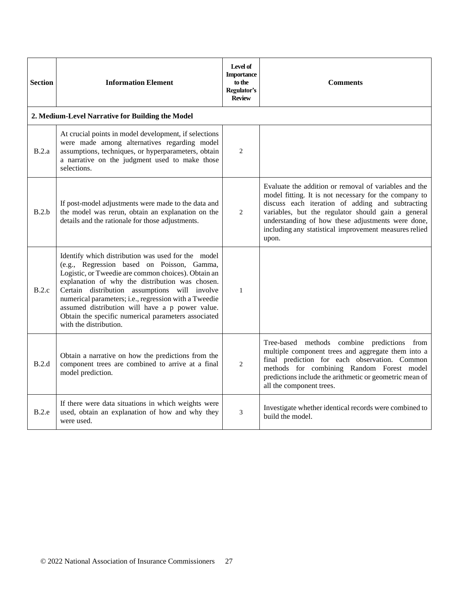| <b>Section</b> | <b>Information Element</b>                                                                                                                                                                                                                                                                                                                                                                                                                               | Level of<br><b>Importance</b><br>to the<br>Regulator's<br><b>Review</b> | <b>Comments</b>                                                                                                                                                                                                                                                                                                                                 |
|----------------|----------------------------------------------------------------------------------------------------------------------------------------------------------------------------------------------------------------------------------------------------------------------------------------------------------------------------------------------------------------------------------------------------------------------------------------------------------|-------------------------------------------------------------------------|-------------------------------------------------------------------------------------------------------------------------------------------------------------------------------------------------------------------------------------------------------------------------------------------------------------------------------------------------|
|                | 2. Medium-Level Narrative for Building the Model                                                                                                                                                                                                                                                                                                                                                                                                         |                                                                         |                                                                                                                                                                                                                                                                                                                                                 |
| B.2.a          | At crucial points in model development, if selections<br>were made among alternatives regarding model<br>assumptions, techniques, or hyperparameters, obtain<br>a narrative on the judgment used to make those<br>selections.                                                                                                                                                                                                                            | 2                                                                       |                                                                                                                                                                                                                                                                                                                                                 |
| B.2.b          | If post-model adjustments were made to the data and<br>the model was rerun, obtain an explanation on the<br>details and the rationale for those adjustments.                                                                                                                                                                                                                                                                                             | 2                                                                       | Evaluate the addition or removal of variables and the<br>model fitting. It is not necessary for the company to<br>discuss each iteration of adding and subtracting<br>variables, but the regulator should gain a general<br>understanding of how these adjustments were done,<br>including any statistical improvement measures relied<br>upon. |
| B.2.c          | Identify which distribution was used for the model<br>(e.g., Regression based on Poisson, Gamma,<br>Logistic, or Tweedie are common choices). Obtain an<br>explanation of why the distribution was chosen.<br>Certain distribution assumptions will involve<br>numerical parameters; i.e., regression with a Tweedie<br>assumed distribution will have a p power value.<br>Obtain the specific numerical parameters associated<br>with the distribution. | $\mathbf{1}$                                                            |                                                                                                                                                                                                                                                                                                                                                 |
| B.2.d          | Obtain a narrative on how the predictions from the<br>component trees are combined to arrive at a final<br>model prediction.                                                                                                                                                                                                                                                                                                                             | 2                                                                       | Tree-based methods combine predictions from<br>multiple component trees and aggregate them into a<br>final prediction for each observation. Common<br>methods for combining Random Forest model<br>predictions include the arithmetic or geometric mean of<br>all the component trees.                                                          |
| B.2.e          | If there were data situations in which weights were<br>used, obtain an explanation of how and why they<br>were used.                                                                                                                                                                                                                                                                                                                                     | 3                                                                       | Investigate whether identical records were combined to<br>build the model.                                                                                                                                                                                                                                                                      |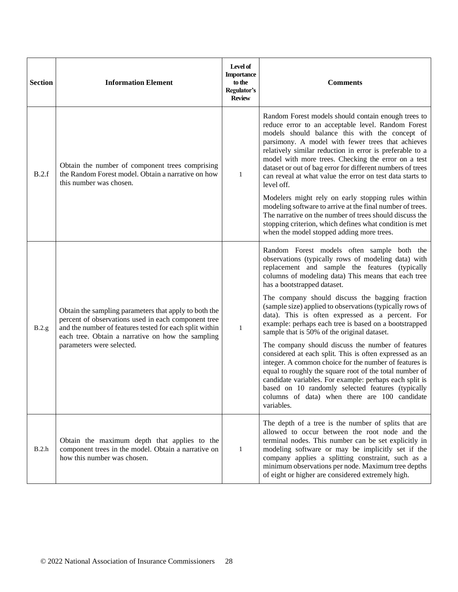| <b>Section</b> | <b>Information Element</b>                                                                                                                                                                                                                                | Level of<br><b>Importance</b><br>to the<br>Regulator's<br><b>Review</b> | <b>Comments</b>                                                                                                                                                                                                                                                                                                                                                                                                                                                              |
|----------------|-----------------------------------------------------------------------------------------------------------------------------------------------------------------------------------------------------------------------------------------------------------|-------------------------------------------------------------------------|------------------------------------------------------------------------------------------------------------------------------------------------------------------------------------------------------------------------------------------------------------------------------------------------------------------------------------------------------------------------------------------------------------------------------------------------------------------------------|
| B.2.f          | Obtain the number of component trees comprising<br>the Random Forest model. Obtain a narrative on how<br>this number was chosen.                                                                                                                          | $\mathbf{1}$                                                            | Random Forest models should contain enough trees to<br>reduce error to an acceptable level. Random Forest<br>models should balance this with the concept of<br>parsimony. A model with fewer trees that achieves<br>relatively similar reduction in error is preferable to a<br>model with more trees. Checking the error on a test<br>dataset or out of bag error for different numbers of trees<br>can reveal at what value the error on test data starts to<br>level off. |
|                |                                                                                                                                                                                                                                                           |                                                                         | Modelers might rely on early stopping rules within<br>modeling software to arrive at the final number of trees.<br>The narrative on the number of trees should discuss the<br>stopping criterion, which defines what condition is met<br>when the model stopped adding more trees.                                                                                                                                                                                           |
| B.2.g          | Obtain the sampling parameters that apply to both the<br>percent of observations used in each component tree<br>and the number of features tested for each split within<br>each tree. Obtain a narrative on how the sampling<br>parameters were selected. | $\mathbf{1}$                                                            | Random Forest models often sample both the<br>observations (typically rows of modeling data) with<br>replacement and sample the features (typically<br>columns of modeling data) This means that each tree<br>has a bootstrapped dataset.                                                                                                                                                                                                                                    |
|                |                                                                                                                                                                                                                                                           |                                                                         | The company should discuss the bagging fraction<br>(sample size) applied to observations (typically rows of<br>data). This is often expressed as a percent. For<br>example: perhaps each tree is based on a bootstrapped<br>sample that is 50% of the original dataset.                                                                                                                                                                                                      |
|                |                                                                                                                                                                                                                                                           |                                                                         | The company should discuss the number of features<br>considered at each split. This is often expressed as an<br>integer. A common choice for the number of features is<br>equal to roughly the square root of the total number of<br>candidate variables. For example: perhaps each split is<br>based on 10 randomly selected features (typically  <br>columns of data) when there are 100 candidate<br>variables.                                                           |
| B.2.h          | Obtain the maximum depth that applies to the<br>component trees in the model. Obtain a narrative on<br>how this number was chosen.                                                                                                                        | $\mathbf{1}$                                                            | The depth of a tree is the number of splits that are<br>allowed to occur between the root node and the<br>terminal nodes. This number can be set explicitly in<br>modeling software or may be implicitly set if the<br>company applies a splitting constraint, such as a<br>minimum observations per node. Maximum tree depths<br>of eight or higher are considered extremely high.                                                                                          |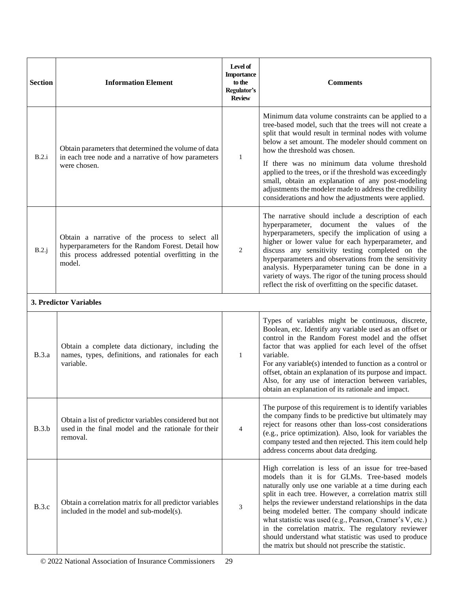| <b>Section</b> | <b>Information Element</b>                                                                                                                                            | Level of<br><b>Importance</b><br>to the<br>Regulator's<br><b>Review</b> | <b>Comments</b>                                                                                                                                                                                                                                                                                                                                                                                                                                                                                                                                                           |
|----------------|-----------------------------------------------------------------------------------------------------------------------------------------------------------------------|-------------------------------------------------------------------------|---------------------------------------------------------------------------------------------------------------------------------------------------------------------------------------------------------------------------------------------------------------------------------------------------------------------------------------------------------------------------------------------------------------------------------------------------------------------------------------------------------------------------------------------------------------------------|
| B.2.i          | Obtain parameters that determined the volume of data<br>in each tree node and a narrative of how parameters<br>were chosen.                                           |                                                                         | Minimum data volume constraints can be applied to a<br>tree-based model, such that the trees will not create a<br>split that would result in terminal nodes with volume<br>below a set amount. The modeler should comment on<br>how the threshold was chosen.                                                                                                                                                                                                                                                                                                             |
|                |                                                                                                                                                                       | $\mathbf{1}$                                                            | If there was no minimum data volume threshold<br>applied to the trees, or if the threshold was exceedingly<br>small, obtain an explanation of any post-modeling<br>adjustments the modeler made to address the credibility<br>considerations and how the adjustments were applied.                                                                                                                                                                                                                                                                                        |
| B.2.j          | Obtain a narrative of the process to select all<br>hyperparameters for the Random Forest. Detail how<br>this process addressed potential overfitting in the<br>model. | 2                                                                       | The narrative should include a description of each<br>hyperparameter, document the values of the<br>hyperparameters, specify the implication of using a<br>higher or lower value for each hyperparameter, and<br>discuss any sensitivity testing completed on the<br>hyperparameters and observations from the sensitivity<br>analysis. Hyperparameter tuning can be done in a<br>variety of ways. The rigor of the tuning process should<br>reflect the risk of overfitting on the specific dataset.                                                                     |
|                | 3. Predictor Variables                                                                                                                                                |                                                                         |                                                                                                                                                                                                                                                                                                                                                                                                                                                                                                                                                                           |
| <b>B.3.a</b>   | Obtain a complete data dictionary, including the<br>names, types, definitions, and rationales for each<br>variable.                                                   | $\mathbf{1}$                                                            | Types of variables might be continuous, discrete,<br>Boolean, etc. Identify any variable used as an offset or<br>control in the Random Forest model and the offset<br>factor that was applied for each level of the offset<br>variable.<br>For any variable(s) intended to function as a control or<br>offset, obtain an explanation of its purpose and impact.<br>Also, for any use of interaction between variables,<br>obtain an explanation of its rationale and impact.                                                                                              |
| B.3.b          | Obtain a list of predictor variables considered but not<br>used in the final model and the rationale for their<br>removal.                                            | $\overline{4}$                                                          | The purpose of this requirement is to identify variables<br>the company finds to be predictive but ultimately may<br>reject for reasons other than loss-cost considerations<br>(e.g., price optimization). Also, look for variables the<br>company tested and then rejected. This item could help<br>address concerns about data dredging.                                                                                                                                                                                                                                |
| B.3.c          | Obtain a correlation matrix for all predictor variables<br>included in the model and sub-model(s).                                                                    | 3                                                                       | High correlation is less of an issue for tree-based<br>models than it is for GLMs. Tree-based models<br>naturally only use one variable at a time during each<br>split in each tree. However, a correlation matrix still<br>helps the reviewer understand relationships in the data<br>being modeled better. The company should indicate<br>what statistic was used (e.g., Pearson, Cramer's V, etc.)<br>in the correlation matrix. The regulatory reviewer<br>should understand what statistic was used to produce<br>the matrix but should not prescribe the statistic. |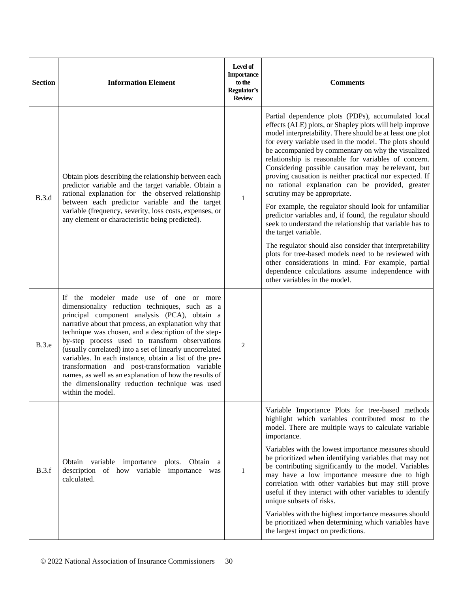| <b>Section</b> | <b>Information Element</b>                                                                                                                                                                                                                                                                                                                                                                                                                                                                                                                                                                                             | Level of<br><b>Importance</b><br>to the<br>Regulator's<br><b>Review</b> | <b>Comments</b>                                                                                                                                                                                                                                                                                                                                                                                                                                                                                                                                          |
|----------------|------------------------------------------------------------------------------------------------------------------------------------------------------------------------------------------------------------------------------------------------------------------------------------------------------------------------------------------------------------------------------------------------------------------------------------------------------------------------------------------------------------------------------------------------------------------------------------------------------------------------|-------------------------------------------------------------------------|----------------------------------------------------------------------------------------------------------------------------------------------------------------------------------------------------------------------------------------------------------------------------------------------------------------------------------------------------------------------------------------------------------------------------------------------------------------------------------------------------------------------------------------------------------|
| <b>B.3.d</b>   | Obtain plots describing the relationship between each<br>predictor variable and the target variable. Obtain a<br>rational explanation for the observed relationship<br>between each predictor variable and the target<br>variable (frequency, severity, loss costs, expenses, or<br>any element or characteristic being predicted).                                                                                                                                                                                                                                                                                    | $\mathbf{1}$                                                            | Partial dependence plots (PDPs), accumulated local<br>effects (ALE) plots, or Shapley plots will help improve<br>model interpretability. There should be at least one plot<br>for every variable used in the model. The plots should<br>be accompanied by commentary on why the visualized<br>relationship is reasonable for variables of concern.<br>Considering possible causation may be relevant, but<br>proving causation is neither practical nor expected. If<br>no rational explanation can be provided, greater<br>scrutiny may be appropriate. |
|                |                                                                                                                                                                                                                                                                                                                                                                                                                                                                                                                                                                                                                        |                                                                         | For example, the regulator should look for unfamiliar<br>predictor variables and, if found, the regulator should<br>seek to understand the relationship that variable has to<br>the target variable.                                                                                                                                                                                                                                                                                                                                                     |
|                |                                                                                                                                                                                                                                                                                                                                                                                                                                                                                                                                                                                                                        |                                                                         | The regulator should also consider that interpretability<br>plots for tree-based models need to be reviewed with<br>other considerations in mind. For example, partial<br>dependence calculations assume independence with<br>other variables in the model.                                                                                                                                                                                                                                                                                              |
| <b>B.3.e</b>   | If the modeler made use of one or more<br>dimensionality reduction techniques, such as a<br>principal component analysis (PCA), obtain a<br>narrative about that process, an explanation why that<br>technique was chosen, and a description of the step-<br>by-step process used to transform observations<br>(usually correlated) into a set of linearly uncorrelated<br>variables. In each instance, obtain a list of the pre-<br>transformation and post-transformation variable<br>names, as well as an explanation of how the results of<br>the dimensionality reduction technique was used<br>within the model. | $\overline{2}$                                                          |                                                                                                                                                                                                                                                                                                                                                                                                                                                                                                                                                          |
|                |                                                                                                                                                                                                                                                                                                                                                                                                                                                                                                                                                                                                                        |                                                                         | Variable Importance Plots for tree-based methods<br>highlight which variables contributed most to the<br>model. There are multiple ways to calculate variable<br>importance.                                                                                                                                                                                                                                                                                                                                                                             |
| B.3.f          | Obtain variable importance plots. Obtain a<br>description of how variable importance was<br>calculated.                                                                                                                                                                                                                                                                                                                                                                                                                                                                                                                | $\mathbf{1}$                                                            | Variables with the lowest importance measures should<br>be prioritized when identifying variables that may not<br>be contributing significantly to the model. Variables<br>may have a low importance measure due to high<br>correlation with other variables but may still prove<br>useful if they interact with other variables to identify<br>unique subsets of risks.                                                                                                                                                                                 |
|                |                                                                                                                                                                                                                                                                                                                                                                                                                                                                                                                                                                                                                        |                                                                         | Variables with the highest importance measures should<br>be prioritized when determining which variables have<br>the largest impact on predictions.                                                                                                                                                                                                                                                                                                                                                                                                      |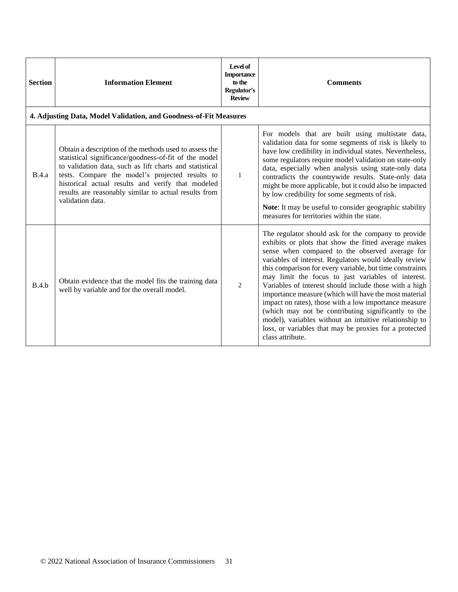| <b>Section</b> | <b>Information Element</b>                                                                                                                                                                                                                                                                                                                                      | Level of<br><b>Importance</b><br>to the<br>Regulator's<br><b>Review</b> | <b>Comments</b>                                                                                                                                                                                                                                                                                                                                                                                                                                                                                                                                                                                                                                                                                                       |
|----------------|-----------------------------------------------------------------------------------------------------------------------------------------------------------------------------------------------------------------------------------------------------------------------------------------------------------------------------------------------------------------|-------------------------------------------------------------------------|-----------------------------------------------------------------------------------------------------------------------------------------------------------------------------------------------------------------------------------------------------------------------------------------------------------------------------------------------------------------------------------------------------------------------------------------------------------------------------------------------------------------------------------------------------------------------------------------------------------------------------------------------------------------------------------------------------------------------|
|                | 4. Adjusting Data, Model Validation, and Goodness-of-Fit Measures                                                                                                                                                                                                                                                                                               |                                                                         |                                                                                                                                                                                                                                                                                                                                                                                                                                                                                                                                                                                                                                                                                                                       |
| B.4.a          | Obtain a description of the methods used to assess the<br>statistical significance/goodness-of-fit of the model<br>to validation data, such as lift charts and statistical<br>tests. Compare the model's projected results to<br>historical actual results and verify that modeled<br>results are reasonably similar to actual results from<br>validation data. | $\mathbf{1}$                                                            | For models that are built using multistate data,<br>validation data for some segments of risk is likely to<br>have low credibility in individual states. Nevertheless,<br>some regulators require model validation on state-only<br>data, especially when analysis using state-only data<br>contradicts the countrywide results. State-only data<br>might be more applicable, but it could also be impacted<br>by low credibility for some segments of risk.<br>Note: It may be useful to consider geographic stability<br>measures for territories within the state.                                                                                                                                                 |
| B.4.h          | Obtain evidence that the model fits the training data<br>well by variable and for the overall model.                                                                                                                                                                                                                                                            | 2                                                                       | The regulator should ask for the company to provide<br>exhibits or plots that show the fitted average makes<br>sense when compared to the observed average for<br>variables of interest. Regulators would ideally review<br>this comparison for every variable, but time constraints<br>may limit the focus to just variables of interest.<br>Variables of interest should include those with a high<br>importance measure (which will have the most material<br>impact on rates), those with a low importance measure<br>(which may not be contributing significantly to the<br>model), variables without an intuitive relationship to<br>loss, or variables that may be proxies for a protected<br>class attribute. |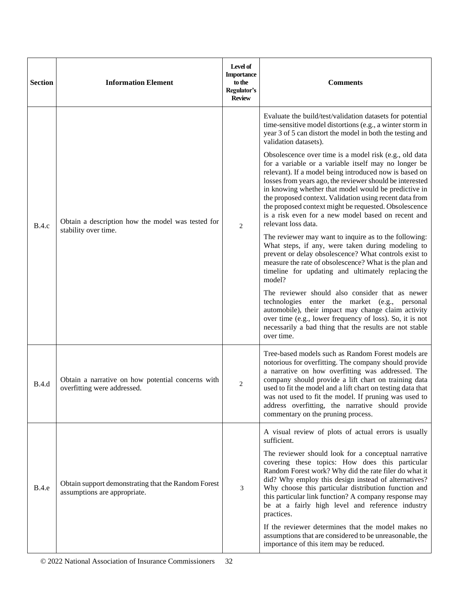| <b>Section</b> | <b>Information Element</b>                                                          | Level of<br><b>Importance</b><br>to the<br>Regulator's<br><b>Review</b> | <b>Comments</b>                                                                                                                                                                                                                                                                                                                                                                                                                                                                               |
|----------------|-------------------------------------------------------------------------------------|-------------------------------------------------------------------------|-----------------------------------------------------------------------------------------------------------------------------------------------------------------------------------------------------------------------------------------------------------------------------------------------------------------------------------------------------------------------------------------------------------------------------------------------------------------------------------------------|
| <b>B.4.c</b>   |                                                                                     |                                                                         | Evaluate the build/test/validation datasets for potential<br>time-sensitive model distortions (e.g., a winter storm in<br>year 3 of 5 can distort the model in both the testing and<br>validation datasets).                                                                                                                                                                                                                                                                                  |
|                | Obtain a description how the model was tested for<br>stability over time.           | $\overline{c}$                                                          | Obsolescence over time is a model risk (e.g., old data<br>for a variable or a variable itself may no longer be<br>relevant). If a model being introduced now is based on<br>losses from years ago, the reviewer should be interested<br>in knowing whether that model would be predictive in<br>the proposed context. Validation using recent data from<br>the proposed context might be requested. Obsolescence<br>is a risk even for a new model based on recent and<br>relevant loss data. |
|                |                                                                                     |                                                                         | The reviewer may want to inquire as to the following:<br>What steps, if any, were taken during modeling to<br>prevent or delay obsolescence? What controls exist to<br>measure the rate of obsolescence? What is the plan and<br>timeline for updating and ultimately replacing the<br>model?                                                                                                                                                                                                 |
|                |                                                                                     |                                                                         | The reviewer should also consider that as newer<br>technologies enter the market (e.g., personal<br>automobile), their impact may change claim activity<br>over time (e.g., lower frequency of loss). So, it is not<br>necessarily a bad thing that the results are not stable<br>over time.                                                                                                                                                                                                  |
| B.4.d          | Obtain a narrative on how potential concerns with<br>overfitting were addressed.    | $\overline{c}$                                                          | Tree-based models such as Random Forest models are<br>notorious for overfitting. The company should provide<br>a narrative on how overfitting was addressed. The<br>company should provide a lift chart on training data<br>used to fit the model and a lift chart on testing data that<br>was not used to fit the model. If pruning was used to<br>address overfitting, the narrative should provide<br>commentary on the pruning process.                                                   |
|                |                                                                                     | sufficient.                                                             | A visual review of plots of actual errors is usually                                                                                                                                                                                                                                                                                                                                                                                                                                          |
| <b>B.4.e</b>   | Obtain support demonstrating that the Random Forest<br>assumptions are appropriate. | 3                                                                       | The reviewer should look for a conceptual narrative<br>covering these topics: How does this particular<br>Random Forest work? Why did the rate filer do what it<br>did? Why employ this design instead of alternatives?<br>Why choose this particular distribution function and<br>this particular link function? A company response may<br>be at a fairly high level and reference industry<br>practices.                                                                                    |
|                |                                                                                     |                                                                         | If the reviewer determines that the model makes no<br>assumptions that are considered to be unreasonable, the<br>importance of this item may be reduced.                                                                                                                                                                                                                                                                                                                                      |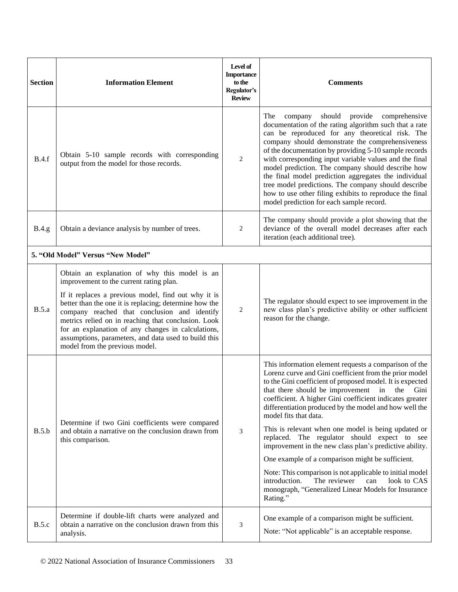| <b>Section</b> | <b>Information Element</b>                                                                                                                                                                                                                                                                                                                                                                                                                                       | Level of<br><b>Importance</b><br>to the<br>Regulator's<br><b>Review</b> | <b>Comments</b>                                                                                                                                                                                                                                                                                                                                                                                                                                                                                                                                                                                                                                                                                                                                                                         |
|----------------|------------------------------------------------------------------------------------------------------------------------------------------------------------------------------------------------------------------------------------------------------------------------------------------------------------------------------------------------------------------------------------------------------------------------------------------------------------------|-------------------------------------------------------------------------|-----------------------------------------------------------------------------------------------------------------------------------------------------------------------------------------------------------------------------------------------------------------------------------------------------------------------------------------------------------------------------------------------------------------------------------------------------------------------------------------------------------------------------------------------------------------------------------------------------------------------------------------------------------------------------------------------------------------------------------------------------------------------------------------|
| B.4.f          | Obtain 5-10 sample records with corresponding<br>output from the model for those records.                                                                                                                                                                                                                                                                                                                                                                        | 2                                                                       | company should provide comprehensive<br>The<br>documentation of the rating algorithm such that a rate<br>can be reproduced for any theoretical risk. The<br>company should demonstrate the comprehensiveness<br>of the documentation by providing 5-10 sample records<br>with corresponding input variable values and the final<br>model prediction. The company should describe how<br>the final model prediction aggregates the individual<br>tree model predictions. The company should describe<br>how to use other filing exhibits to reproduce the final<br>model prediction for each sample record.                                                                                                                                                                              |
| <b>B.4.g</b>   | Obtain a deviance analysis by number of trees.                                                                                                                                                                                                                                                                                                                                                                                                                   | 2                                                                       | The company should provide a plot showing that the<br>deviance of the overall model decreases after each<br>iteration (each additional tree).                                                                                                                                                                                                                                                                                                                                                                                                                                                                                                                                                                                                                                           |
|                | 5. "Old Model" Versus "New Model"                                                                                                                                                                                                                                                                                                                                                                                                                                |                                                                         |                                                                                                                                                                                                                                                                                                                                                                                                                                                                                                                                                                                                                                                                                                                                                                                         |
| B.5.a          | Obtain an explanation of why this model is an<br>improvement to the current rating plan.<br>If it replaces a previous model, find out why it is<br>better than the one it is replacing; determine how the<br>company reached that conclusion and identify<br>metrics relied on in reaching that conclusion. Look<br>for an explanation of any changes in calculations,<br>assumptions, parameters, and data used to build this<br>model from the previous model. | 2                                                                       | The regulator should expect to see improvement in the<br>new class plan's predictive ability or other sufficient<br>reason for the change.                                                                                                                                                                                                                                                                                                                                                                                                                                                                                                                                                                                                                                              |
| B.5.b          | Determine if two Gini coefficients were compared<br>and obtain a narrative on the conclusion drawn from<br>this comparison.                                                                                                                                                                                                                                                                                                                                      | 3                                                                       | This information element requests a comparison of the<br>Lorenz curve and Gini coefficient from the prior model<br>to the Gini coefficient of proposed model. It is expected<br>that there should be improvement in the Gini<br>coefficient. A higher Gini coefficient indicates greater<br>differentiation produced by the model and how well the<br>model fits that data.<br>This is relevant when one model is being updated or<br>replaced. The regulator should expect to see<br>improvement in the new class plan's predictive ability.<br>One example of a comparison might be sufficient.<br>Note: This comparison is not applicable to initial model<br>The reviewer<br>introduction.<br>look to CAS<br>can<br>monograph, "Generalized Linear Models for Insurance<br>Rating." |
| B.5.c          | Determine if double-lift charts were analyzed and<br>obtain a narrative on the conclusion drawn from this<br>analysis.                                                                                                                                                                                                                                                                                                                                           | 3                                                                       | One example of a comparison might be sufficient.<br>Note: "Not applicable" is an acceptable response.                                                                                                                                                                                                                                                                                                                                                                                                                                                                                                                                                                                                                                                                                   |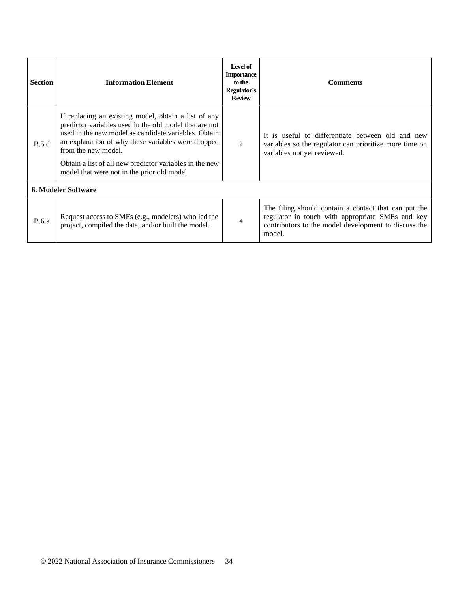| <b>Section</b>             | <b>Information Element</b>                                                                                                                                                                                                                                                                                                                                    | Level of<br><b>Importance</b><br>to the<br>Regulator's<br><b>Review</b> | <b>Comments</b>                                                                                                                                                            |  |
|----------------------------|---------------------------------------------------------------------------------------------------------------------------------------------------------------------------------------------------------------------------------------------------------------------------------------------------------------------------------------------------------------|-------------------------------------------------------------------------|----------------------------------------------------------------------------------------------------------------------------------------------------------------------------|--|
| B.5.d                      | If replacing an existing model, obtain a list of any<br>predictor variables used in the old model that are not<br>used in the new model as candidate variables. Obtain<br>an explanation of why these variables were dropped<br>from the new model.<br>Obtain a list of all new predictor variables in the new<br>model that were not in the prior old model. | $\mathfrak{D}$                                                          | It is useful to differentiate between old and new<br>variables so the regulator can prioritize more time on<br>variables not yet reviewed.                                 |  |
| <b>6. Modeler Software</b> |                                                                                                                                                                                                                                                                                                                                                               |                                                                         |                                                                                                                                                                            |  |
| <b>B.6.a</b>               | Request access to SMEs (e.g., modelers) who led the<br>project, compiled the data, and/or built the model.                                                                                                                                                                                                                                                    | $\overline{4}$                                                          | The filing should contain a contact that can put the<br>regulator in touch with appropriate SMEs and key<br>contributors to the model development to discuss the<br>model. |  |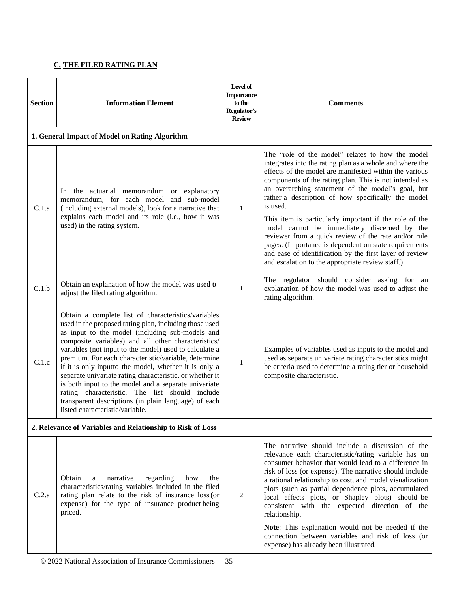# **C. THE FILED RATING PLAN**

| <b>Section</b> | <b>Information Element</b>                                                                                                                                                                                                                                                                                                                                                                                                                                                                                                                                                                                                                                          | Level of<br><b>Importance</b><br>to the<br>Regulator's<br><b>Review</b> | <b>Comments</b>                                                                                                                                                                                                                                                                                                                                                                                                                                                       |
|----------------|---------------------------------------------------------------------------------------------------------------------------------------------------------------------------------------------------------------------------------------------------------------------------------------------------------------------------------------------------------------------------------------------------------------------------------------------------------------------------------------------------------------------------------------------------------------------------------------------------------------------------------------------------------------------|-------------------------------------------------------------------------|-----------------------------------------------------------------------------------------------------------------------------------------------------------------------------------------------------------------------------------------------------------------------------------------------------------------------------------------------------------------------------------------------------------------------------------------------------------------------|
|                | 1. General Impact of Model on Rating Algorithm                                                                                                                                                                                                                                                                                                                                                                                                                                                                                                                                                                                                                      |                                                                         |                                                                                                                                                                                                                                                                                                                                                                                                                                                                       |
| C.1.a          | In the actuarial memorandum or explanatory<br>memorandum, for each model and sub-model<br>(including external models), look for a narrative that                                                                                                                                                                                                                                                                                                                                                                                                                                                                                                                    | $\mathbf{1}$                                                            | The "role of the model" relates to how the model<br>integrates into the rating plan as a whole and where the<br>effects of the model are manifested within the various<br>components of the rating plan. This is not intended as<br>an overarching statement of the model's goal, but<br>rather a description of how specifically the model<br>is used.                                                                                                               |
|                | explains each model and its role (i.e., how it was<br>used) in the rating system.                                                                                                                                                                                                                                                                                                                                                                                                                                                                                                                                                                                   |                                                                         | This item is particularly important if the role of the<br>model cannot be immediately discerned by the<br>reviewer from a quick review of the rate and/or rule<br>pages. (Importance is dependent on state requirements<br>and ease of identification by the first layer of review<br>and escalation to the appropriate review staff.)                                                                                                                                |
| C.1.b          | Obtain an explanation of how the model was used to<br>adjust the filed rating algorithm.                                                                                                                                                                                                                                                                                                                                                                                                                                                                                                                                                                            | $\mathbf{1}$                                                            | The regulator should consider asking for an<br>explanation of how the model was used to adjust the<br>rating algorithm.                                                                                                                                                                                                                                                                                                                                               |
| C.1.c          | Obtain a complete list of characteristics/variables<br>used in the proposed rating plan, including those used<br>as input to the model (including sub-models and<br>composite variables) and all other characteristics/<br>variables (not input to the model) used to calculate a<br>premium. For each characteristic/variable, determine<br>if it is only inputto the model, whether it is only a<br>separate univariate rating characteristic, or whether it<br>is both input to the model and a separate univariate<br>rating characteristic. The list should include<br>transparent descriptions (in plain language) of each<br>listed characteristic/variable. | 1                                                                       | Examples of variables used as inputs to the model and<br>used as separate univariate rating characteristics might<br>be criteria used to determine a rating tier or household<br>composite characteristic.                                                                                                                                                                                                                                                            |
|                | 2. Relevance of Variables and Relationship to Risk of Loss                                                                                                                                                                                                                                                                                                                                                                                                                                                                                                                                                                                                          |                                                                         |                                                                                                                                                                                                                                                                                                                                                                                                                                                                       |
| C.2.a          | Obtain<br>narrative<br>regarding<br>how<br>the<br>a<br>characteristics/rating variables included in the filed<br>rating plan relate to the risk of insurance loss (or<br>expense) for the type of insurance product being<br>priced.                                                                                                                                                                                                                                                                                                                                                                                                                                | 2                                                                       | The narrative should include a discussion of the<br>relevance each characteristic/rating variable has on<br>consumer behavior that would lead to a difference in<br>risk of loss (or expense). The narrative should include<br>a rational relationship to cost, and model visualization<br>plots (such as partial dependence plots, accumulated<br>local effects plots, or Shapley plots) should be<br>consistent with the expected direction of the<br>relationship. |
|                |                                                                                                                                                                                                                                                                                                                                                                                                                                                                                                                                                                                                                                                                     |                                                                         | Note: This explanation would not be needed if the<br>connection between variables and risk of loss (or<br>expense) has already been illustrated.                                                                                                                                                                                                                                                                                                                      |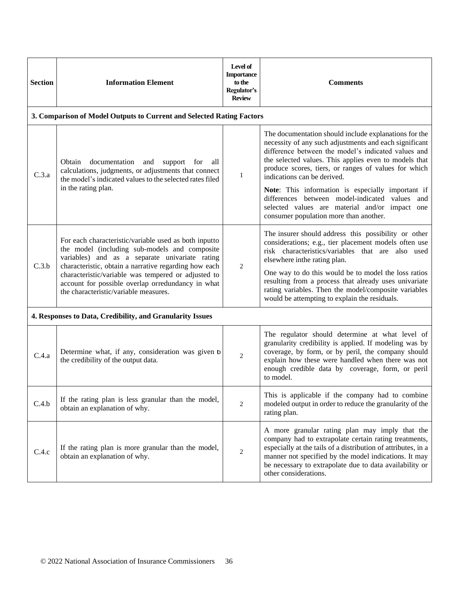| <b>Section</b> | <b>Information Element</b>                                                                                                                                                                                                                                                                                                                                             | Level of<br><b>Importance</b><br>to the<br>Regulator's<br><b>Review</b> | <b>Comments</b>                                                                                                                                                                                                                                                                                                                                                                                                              |
|----------------|------------------------------------------------------------------------------------------------------------------------------------------------------------------------------------------------------------------------------------------------------------------------------------------------------------------------------------------------------------------------|-------------------------------------------------------------------------|------------------------------------------------------------------------------------------------------------------------------------------------------------------------------------------------------------------------------------------------------------------------------------------------------------------------------------------------------------------------------------------------------------------------------|
|                | 3. Comparison of Model Outputs to Current and Selected Rating Factors                                                                                                                                                                                                                                                                                                  |                                                                         |                                                                                                                                                                                                                                                                                                                                                                                                                              |
| C.3.a          | documentation<br>and support for<br>Obtain<br>all<br>calculations, judgments, or adjustments that connect<br>the model's indicated values to the selected rates filed                                                                                                                                                                                                  | 1                                                                       | The documentation should include explanations for the<br>necessity of any such adjustments and each significant<br>difference between the model's indicated values and<br>the selected values. This applies even to models that<br>produce scores, tiers, or ranges of values for which<br>indications can be derived.                                                                                                       |
|                | in the rating plan.                                                                                                                                                                                                                                                                                                                                                    |                                                                         | Note: This information is especially important if<br>differences between model-indicated values and<br>selected values are material and/or impact one<br>consumer population more than another.                                                                                                                                                                                                                              |
| C.3.b          | For each characteristic/variable used as both inputto<br>the model (including sub-models and composite<br>variables) and as a separate univariate rating<br>characteristic, obtain a narrative regarding how each<br>characteristic/variable was tempered or adjusted to<br>account for possible overlap orredundancy in what<br>the characteristic/variable measures. | $\overline{2}$                                                          | The insurer should address this possibility or other<br>considerations; e.g., tier placement models often use<br>risk characteristics/variables that are also used<br>elsewhere inthe rating plan.<br>One way to do this would be to model the loss ratios<br>resulting from a process that already uses univariate<br>rating variables. Then the model/composite variables<br>would be attempting to explain the residuals. |
|                | 4. Responses to Data, Credibility, and Granularity Issues                                                                                                                                                                                                                                                                                                              |                                                                         |                                                                                                                                                                                                                                                                                                                                                                                                                              |
| C.4.a          | Determine what, if any, consideration was given b<br>the credibility of the output data.                                                                                                                                                                                                                                                                               | $\overline{2}$                                                          | The regulator should determine at what level of<br>granularity credibility is applied. If modeling was by<br>coverage, by form, or by peril, the company should<br>explain how these were handled when there was not<br>enough credible data by coverage, form, or peril<br>to model.                                                                                                                                        |
| C.4.b          | If the rating plan is less granular than the model,<br>obtain an explanation of why.                                                                                                                                                                                                                                                                                   | $\overline{c}$                                                          | This is applicable if the company had to combine<br>modeled output in order to reduce the granularity of the<br>rating plan.                                                                                                                                                                                                                                                                                                 |
| C.4.c          | If the rating plan is more granular than the model,<br>obtain an explanation of why.                                                                                                                                                                                                                                                                                   | $\sqrt{2}$                                                              | A more granular rating plan may imply that the<br>company had to extrapolate certain rating treatments,<br>especially at the tails of a distribution of attributes, in a<br>manner not specified by the model indications. It may<br>be necessary to extrapolate due to data availability or<br>other considerations.                                                                                                        |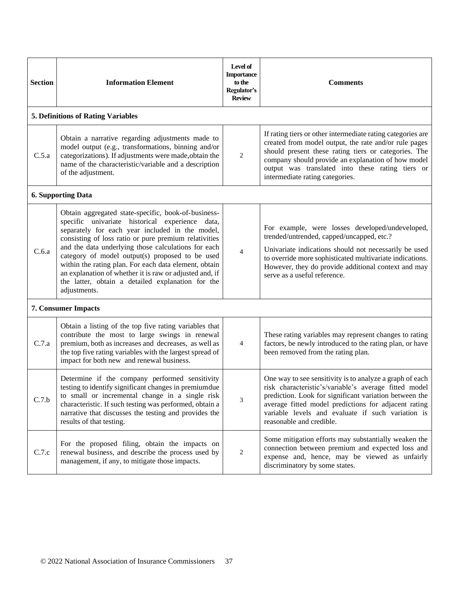| <b>Section</b> | <b>Information Element</b>                                                                                                                                                                                                                                                                                                                                                                                                                                                                                            | Level of<br><b>Importance</b><br>to the<br>Regulator's<br><b>Review</b> | <b>Comments</b>                                                                                                                                                                                                                                                                                                           |
|----------------|-----------------------------------------------------------------------------------------------------------------------------------------------------------------------------------------------------------------------------------------------------------------------------------------------------------------------------------------------------------------------------------------------------------------------------------------------------------------------------------------------------------------------|-------------------------------------------------------------------------|---------------------------------------------------------------------------------------------------------------------------------------------------------------------------------------------------------------------------------------------------------------------------------------------------------------------------|
|                | <b>5. Definitions of Rating Variables</b>                                                                                                                                                                                                                                                                                                                                                                                                                                                                             |                                                                         |                                                                                                                                                                                                                                                                                                                           |
| C.5.a          | Obtain a narrative regarding adjustments made to<br>model output (e.g., transformations, binning and/or<br>categorizations). If adjustments were made, obtain the<br>name of the characteristic/variable and a description<br>of the adjustment.                                                                                                                                                                                                                                                                      | $\overline{c}$                                                          | If rating tiers or other intermediate rating categories are<br>created from model output, the rate and/or rule pages<br>should present these rating tiers or categories. The<br>company should provide an explanation of how model<br>output was translated into these rating tiers or<br>intermediate rating categories. |
|                | <b>6. Supporting Data</b>                                                                                                                                                                                                                                                                                                                                                                                                                                                                                             |                                                                         |                                                                                                                                                                                                                                                                                                                           |
| C.6.a          | Obtain aggregated state-specific, book-of-business-<br>specific univariate historical experience data,<br>separately for each year included in the model,<br>consisting of loss ratio or pure premium relativities<br>and the data underlying those calculations for each<br>category of model output(s) proposed to be used<br>within the rating plan. For each data element, obtain<br>an explanation of whether it is raw or adjusted and, if<br>the latter, obtain a detailed explanation for the<br>adjustments. | $\overline{4}$                                                          | For example, were losses developed/undeveloped,<br>trended/untrended, capped/uncapped, etc.?<br>Univariate indications should not necessarily be used<br>to override more sophisticated multivariate indications.<br>However, they do provide additional context and may<br>serve as a useful reference.                  |
|                | <b>7. Consumer Impacts</b>                                                                                                                                                                                                                                                                                                                                                                                                                                                                                            |                                                                         |                                                                                                                                                                                                                                                                                                                           |
| C.7.a          | Obtain a listing of the top five rating variables that<br>contribute the most to large swings in renewal<br>premium, both as increases and decreases, as well as<br>the top five rating variables with the largest spread of<br>impact for both new and renewal business.                                                                                                                                                                                                                                             | $\overline{4}$                                                          | These rating variables may represent changes to rating<br>factors, be newly introduced to the rating plan, or have<br>been removed from the rating plan.                                                                                                                                                                  |
| C.7.b          | Determine if the company performed sensitivity<br>testing to identify significant changes in premiumdue<br>to small or incremental change in a single risk<br>characteristic. If such testing was performed, obtain a<br>narrative that discusses the testing and provides the<br>results of that testing.                                                                                                                                                                                                            | 3                                                                       | One way to see sensitivity is to analyze a graph of each<br>risk characteristic's/variable's average fitted model<br>prediction. Look for significant variation between the<br>average fitted model predictions for adjacent rating<br>variable levels and evaluate if such variation is<br>reasonable and credible.      |
| C.7.c          | For the proposed filing, obtain the impacts on<br>renewal business, and describe the process used by<br>management, if any, to mitigate those impacts.                                                                                                                                                                                                                                                                                                                                                                | 2                                                                       | Some mitigation efforts may substantially weaken the<br>connection between premium and expected loss and<br>expense and, hence, may be viewed as unfairly<br>discriminatory by some states.                                                                                                                               |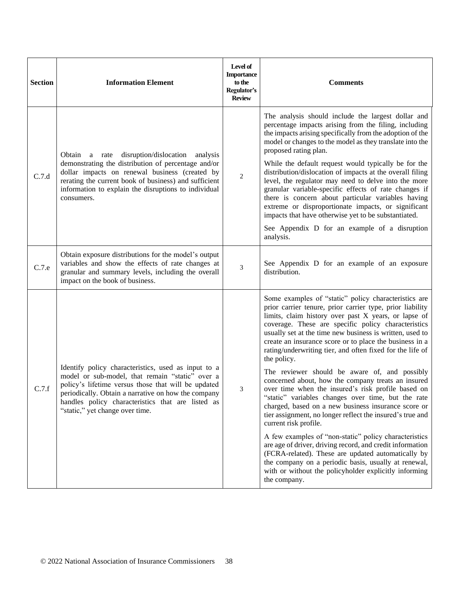| <b>Section</b> | <b>Information Element</b>                                                                                                                                                                                                                                                                                   | Level of<br><b>Importance</b><br>to the<br>Regulator's<br><b>Review</b> | <b>Comments</b>                                                                                                                                                                                                                                                                                                                                                                                                                     |
|----------------|--------------------------------------------------------------------------------------------------------------------------------------------------------------------------------------------------------------------------------------------------------------------------------------------------------------|-------------------------------------------------------------------------|-------------------------------------------------------------------------------------------------------------------------------------------------------------------------------------------------------------------------------------------------------------------------------------------------------------------------------------------------------------------------------------------------------------------------------------|
| C.7.d          | disruption/dislocation analysis<br>Obtain a rate                                                                                                                                                                                                                                                             |                                                                         | The analysis should include the largest dollar and<br>percentage impacts arising from the filing, including<br>the impacts arising specifically from the adoption of the<br>model or changes to the model as they translate into the<br>proposed rating plan.                                                                                                                                                                       |
|                | demonstrating the distribution of percentage and/or<br>dollar impacts on renewal business (created by<br>rerating the current book of business) and sufficient<br>information to explain the disruptions to individual<br>consumers.                                                                         | $\overline{2}$                                                          | While the default request would typically be for the<br>distribution/dislocation of impacts at the overall filing<br>level, the regulator may need to delve into the more<br>granular variable-specific effects of rate changes if<br>there is concern about particular variables having<br>extreme or disproportionate impacts, or significant<br>impacts that have otherwise yet to be substantiated.                             |
|                |                                                                                                                                                                                                                                                                                                              |                                                                         | See Appendix D for an example of a disruption<br>analysis.                                                                                                                                                                                                                                                                                                                                                                          |
| C.7.e          | Obtain exposure distributions for the model's output<br>variables and show the effects of rate changes at<br>granular and summary levels, including the overall<br>impact on the book of business.                                                                                                           | $\mathfrak{Z}$                                                          | See Appendix D for an example of an exposure<br>distribution.                                                                                                                                                                                                                                                                                                                                                                       |
|                |                                                                                                                                                                                                                                                                                                              |                                                                         | Some examples of "static" policy characteristics are<br>prior carrier tenure, prior carrier type, prior liability<br>limits, claim history over past X years, or lapse of<br>coverage. These are specific policy characteristics<br>usually set at the time new business is written, used to<br>create an insurance score or to place the business in a<br>rating/underwriting tier, and often fixed for the life of<br>the policy. |
| C.7.f          | Identify policy characteristics, used as input to a<br>model or sub-model, that remain "static" over a<br>policy's lifetime versus those that will be updated<br>periodically. Obtain a narrative on how the company<br>handles policy characteristics that are listed as<br>"static," yet change over time. | 3                                                                       | The reviewer should be aware of, and possibly<br>concerned about, how the company treats an insured<br>over time when the insured's risk profile based on<br>"static" variables changes over time, but the rate<br>charged, based on a new business insurance score or<br>tier assignment, no longer reflect the insured's true and<br>current risk profile.                                                                        |
|                |                                                                                                                                                                                                                                                                                                              |                                                                         | A few examples of "non-static" policy characteristics<br>are age of driver, driving record, and credit information<br>(FCRA-related). These are updated automatically by<br>the company on a periodic basis, usually at renewal,<br>with or without the policyholder explicitly informing<br>the company.                                                                                                                           |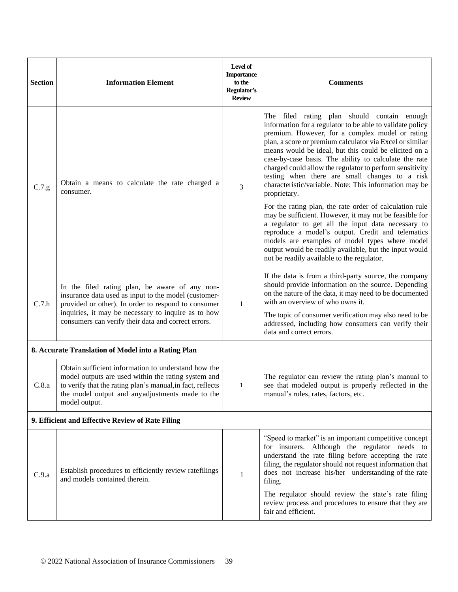| <b>Section</b>                                   | <b>Information Element</b>                                                                                                                                                                                                                   | Level of<br><b>Importance</b><br>to the<br>Regulator's<br><b>Review</b> | <b>Comments</b>                                                                                                                                                                                                                                                                                                                                                                                                                                                                                                                   |  |
|--------------------------------------------------|----------------------------------------------------------------------------------------------------------------------------------------------------------------------------------------------------------------------------------------------|-------------------------------------------------------------------------|-----------------------------------------------------------------------------------------------------------------------------------------------------------------------------------------------------------------------------------------------------------------------------------------------------------------------------------------------------------------------------------------------------------------------------------------------------------------------------------------------------------------------------------|--|
| C.7.g                                            | Obtain a means to calculate the rate charged a<br>consumer.                                                                                                                                                                                  | 3                                                                       | The filed rating plan should contain enough<br>information for a regulator to be able to validate policy<br>premium. However, for a complex model or rating<br>plan, a score or premium calculator via Excel or similar<br>means would be ideal, but this could be elicited on a<br>case-by-case basis. The ability to calculate the rate<br>charged could allow the regulator to perform sensitivity<br>testing when there are small changes to a risk<br>characteristic/variable. Note: This information may be<br>proprietary. |  |
|                                                  |                                                                                                                                                                                                                                              |                                                                         | For the rating plan, the rate order of calculation rule<br>may be sufficient. However, it may not be feasible for<br>a regulator to get all the input data necessary to<br>reproduce a model's output. Credit and telematics<br>models are examples of model types where model<br>output would be readily available, but the input would<br>not be readily available to the regulator.                                                                                                                                            |  |
| C.7.h                                            | In the filed rating plan, be aware of any non-<br>insurance data used as input to the model (customer-<br>provided or other). In order to respond to consumer                                                                                | $\mathbf{1}$                                                            | If the data is from a third-party source, the company<br>should provide information on the source. Depending<br>on the nature of the data, it may need to be documented<br>with an overview of who owns it.                                                                                                                                                                                                                                                                                                                       |  |
|                                                  | inquiries, it may be necessary to inquire as to how<br>consumers can verify their data and correct errors.                                                                                                                                   |                                                                         | The topic of consumer verification may also need to be<br>addressed, including how consumers can verify their<br>data and correct errors.                                                                                                                                                                                                                                                                                                                                                                                         |  |
|                                                  | 8. Accurate Translation of Model into a Rating Plan                                                                                                                                                                                          |                                                                         |                                                                                                                                                                                                                                                                                                                                                                                                                                                                                                                                   |  |
| C.8.a                                            | Obtain sufficient information to understand how the<br>model outputs are used within the rating system and<br>to verify that the rating plan's manual, in fact, reflects<br>the model output and anyadjustments made to the<br>model output. | $\mathbf{1}$                                                            | The regulator can review the rating plan's manual to<br>see that modeled output is properly reflected in the<br>manual's rules, rates, factors, etc.                                                                                                                                                                                                                                                                                                                                                                              |  |
| 9. Efficient and Effective Review of Rate Filing |                                                                                                                                                                                                                                              |                                                                         |                                                                                                                                                                                                                                                                                                                                                                                                                                                                                                                                   |  |
| C.9.a                                            | Establish procedures to efficiently review ratefilings<br>and models contained therein.                                                                                                                                                      | 1                                                                       | "Speed to market" is an important competitive concept<br>for insurers. Although the regulator needs to<br>understand the rate filing before accepting the rate<br>filing, the regulator should not request information that<br>does not increase his/her understanding of the rate<br>filing.                                                                                                                                                                                                                                     |  |
|                                                  |                                                                                                                                                                                                                                              |                                                                         | The regulator should review the state's rate filing<br>review process and procedures to ensure that they are<br>fair and efficient.                                                                                                                                                                                                                                                                                                                                                                                               |  |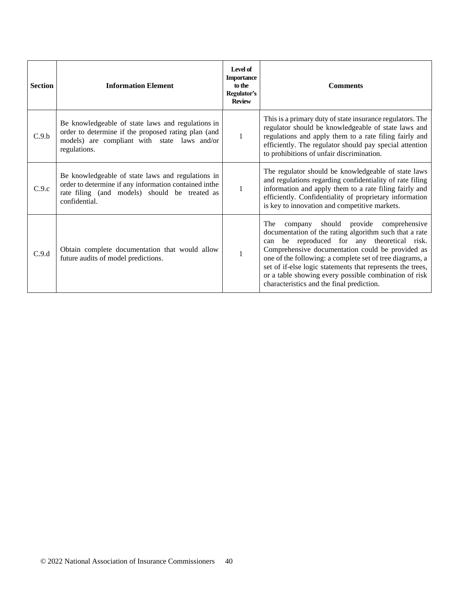| <b>Section</b> | <b>Information Element</b>                                                                                                                                                   | Level of<br><b>Importance</b><br>to the<br>Regulator's<br><b>Review</b> | <b>Comments</b>                                                                                                                                                                                                                                                                                                                                                                                                                                   |
|----------------|------------------------------------------------------------------------------------------------------------------------------------------------------------------------------|-------------------------------------------------------------------------|---------------------------------------------------------------------------------------------------------------------------------------------------------------------------------------------------------------------------------------------------------------------------------------------------------------------------------------------------------------------------------------------------------------------------------------------------|
| C.9.b          | Be knowledgeable of state laws and regulations in<br>order to determine if the proposed rating plan (and<br>models) are compliant with state laws and/or<br>regulations.     | 1                                                                       | This is a primary duty of state insurance regulators. The<br>regulator should be knowledgeable of state laws and<br>regulations and apply them to a rate filing fairly and<br>efficiently. The regulator should pay special attention<br>to prohibitions of unfair discrimination.                                                                                                                                                                |
| C.9.c          | Be knowledgeable of state laws and regulations in<br>order to determine if any information contained inthe<br>rate filing (and models) should be treated as<br>confidential. | $\mathbf{1}$                                                            | The regulator should be knowledgeable of state laws<br>and regulations regarding confidentiality of rate filing<br>information and apply them to a rate filing fairly and<br>efficiently. Confidentiality of proprietary information<br>is key to innovation and competitive markets.                                                                                                                                                             |
| C.9.d          | Obtain complete documentation that would allow<br>future audits of model predictions.                                                                                        | $\mathbf{1}$                                                            | should provide<br>The<br>comprehensive<br>company<br>documentation of the rating algorithm such that a rate<br>be reproduced for any theoretical risk.<br>can<br>Comprehensive documentation could be provided as<br>one of the following: a complete set of tree diagrams, a<br>set of if-else logic statements that represents the trees,<br>or a table showing every possible combination of risk<br>characteristics and the final prediction. |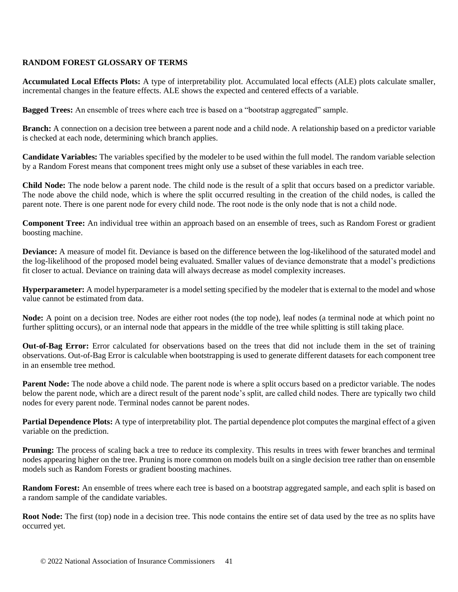### **RANDOM FOREST GLOSSARY OF TERMS**

**Accumulated Local Effects Plots:** A type of interpretability plot. Accumulated local effects (ALE) plots calculate smaller, incremental changes in the feature effects. ALE shows the expected and centered effects of a variable.

**Bagged Trees:** An ensemble of trees where each tree is based on a "bootstrap aggregated" sample.

**Branch:** A connection on a decision tree between a parent node and a child node. A relationship based on a predictor variable is checked at each node, determining which branch applies.

**Candidate Variables:** The variables specified by the modeler to be used within the full model. The random variable selection by a Random Forest means that component trees might only use a subset of these variables in each tree.

**Child Node:** The node below a parent node. The child node is the result of a split that occurs based on a predictor variable. The node above the child node, which is where the split occurred resulting in the creation of the child nodes, is called the parent note. There is one parent node for every child node. The root node is the only node that is not a child node.

**Component Tree:** An individual tree within an approach based on an ensemble of trees, such as Random Forest or gradient boosting machine.

**Deviance:** A measure of model fit. Deviance is based on the difference between the log-likelihood of the saturated model and the log-likelihood of the proposed model being evaluated. Smaller values of deviance demonstrate that a model's predictions fit closer to actual. Deviance on training data will always decrease as model complexity increases.

**Hyperparameter:** A model hyperparameter is a model setting specified by the modeler that is external to the model and whose value cannot be estimated from data.

**Node:** A point on a decision tree. Nodes are either root nodes (the top node), leaf nodes (a terminal node at which point no further splitting occurs), or an internal node that appears in the middle of the tree while splitting is still taking place.

**Out-of-Bag Error:** Error calculated for observations based on the trees that did not include them in the set of training observations. Out-of-Bag Error is calculable when bootstrapping is used to generate different datasets for each component tree in an ensemble tree method.

**Parent Node:** The node above a child node. The parent node is where a split occurs based on a predictor variable. The nodes below the parent node, which are a direct result of the parent node's split, are called child nodes. There are typically two child nodes for every parent node. Terminal nodes cannot be parent nodes.

**Partial Dependence Plots:** A type of interpretability plot. The partial dependence plot computes the marginal effect of a given variable on the prediction.

**Pruning:** The process of scaling back a tree to reduce its complexity. This results in trees with fewer branches and terminal nodes appearing higher on the tree. Pruning is more common on models built on a single decision tree rather than on ensemble models such as Random Forests or gradient boosting machines.

**Random Forest:** An ensemble of trees where each tree is based on a bootstrap aggregated sample, and each split is based on a random sample of the candidate variables.

**Root Node:** The first (top) node in a decision tree. This node contains the entire set of data used by the tree as no splits have occurred yet.